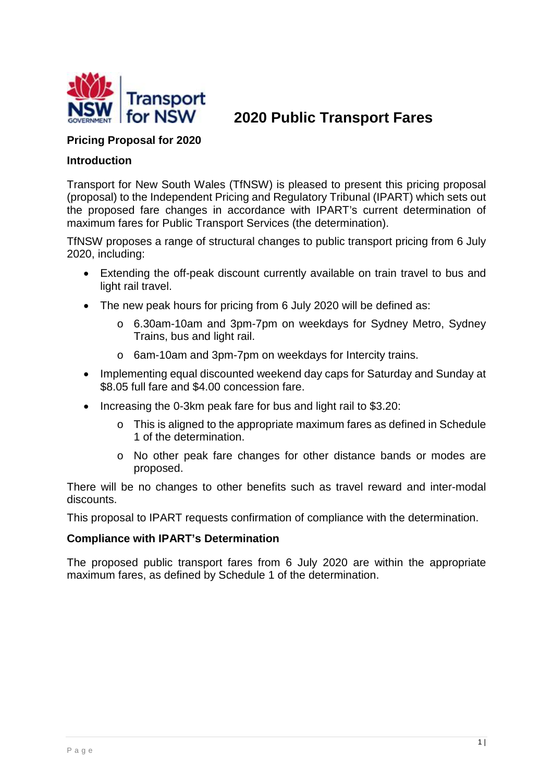

**2020 Public Transport Fares**

#### **Pricing Proposal for 2020**

#### **Introduction**

Transport for New South Wales (TfNSW) is pleased to present this pricing proposal (proposal) to the Independent Pricing and Regulatory Tribunal (IPART) which sets out the proposed fare changes in accordance with IPART's current determination of maximum fares for Public Transport Services (the determination).

TfNSW proposes a range of structural changes to public transport pricing from 6 July 2020, including:

- Extending the off-peak discount currently available on train travel to bus and light rail travel.
- The new peak hours for pricing from 6 July 2020 will be defined as:
	- o 6.30am-10am and 3pm-7pm on weekdays for Sydney Metro, Sydney Trains, bus and light rail.
	- o 6am-10am and 3pm-7pm on weekdays for Intercity trains.
- Implementing equal discounted weekend day caps for Saturday and Sunday at \$8.05 full fare and \$4.00 concession fare.
- Increasing the 0-3km peak fare for bus and light rail to \$3.20:
	- o This is aligned to the appropriate maximum fares as defined in Schedule 1 of the determination.
	- o No other peak fare changes for other distance bands or modes are proposed.

There will be no changes to other benefits such as travel reward and inter-modal discounts.

This proposal to IPART requests confirmation of compliance with the determination.

#### **Compliance with IPART's Determination**

The proposed public transport fares from 6 July 2020 are within the appropriate maximum fares, as defined by Schedule 1 of the determination.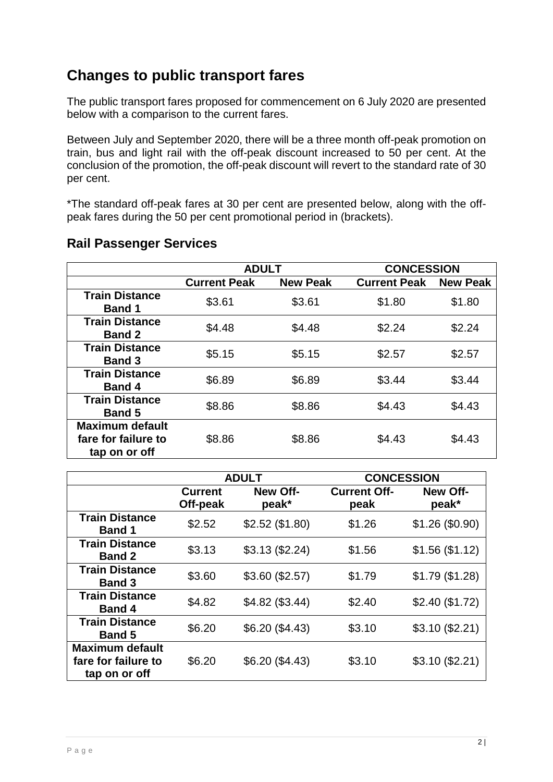# **Changes to public transport fares**

The public transport fares proposed for commencement on 6 July 2020 are presented below with a comparison to the current fares.

Between July and September 2020, there will be a three month off-peak promotion on train, bus and light rail with the off-peak discount increased to 50 per cent. At the conclusion of the promotion, the off-peak discount will revert to the standard rate of 30 per cent.

\*The standard off-peak fares at 30 per cent are presented below, along with the offpeak fares during the 50 per cent promotional period in (brackets).

|                                                                | <b>ADULT</b>        |                 | <b>CONCESSION</b>   |                 |  |
|----------------------------------------------------------------|---------------------|-----------------|---------------------|-----------------|--|
|                                                                | <b>Current Peak</b> | <b>New Peak</b> | <b>Current Peak</b> | <b>New Peak</b> |  |
| <b>Train Distance</b><br><b>Band 1</b>                         | \$3.61              | \$3.61          | \$1.80              | \$1.80          |  |
| <b>Train Distance</b><br><b>Band 2</b>                         | \$4.48              | \$4.48          | \$2.24              | \$2.24          |  |
| <b>Train Distance</b><br><b>Band 3</b>                         | \$5.15              | \$5.15          | \$2.57              | \$2.57          |  |
| <b>Train Distance</b><br><b>Band 4</b>                         | \$6.89              | \$6.89          | \$3.44              | \$3.44          |  |
| <b>Train Distance</b><br><b>Band 5</b>                         | \$8.86              | \$8.86          | \$4.43              | \$4.43          |  |
| <b>Maximum default</b><br>fare for failure to<br>tap on or off | \$8.86              | \$8.86          | \$4.43              | \$4.43          |  |

### **Rail Passenger Services**

|                                                                |                            | <b>ADULT</b>             | <b>CONCESSION</b>           |                          |
|----------------------------------------------------------------|----------------------------|--------------------------|-----------------------------|--------------------------|
|                                                                | <b>Current</b><br>Off-peak | <b>New Off-</b><br>peak* | <b>Current Off-</b><br>peak | <b>New Off-</b><br>peak* |
| <b>Train Distance</b><br><b>Band 1</b>                         | \$2.52                     | \$2.52 (\$1.80)          | \$1.26                      | \$1.26 (\$0.90)          |
| <b>Train Distance</b><br><b>Band 2</b>                         | \$3.13                     | \$3.13 (\$2.24)          | \$1.56                      | \$1.56 (\$1.12)          |
| <b>Train Distance</b><br><b>Band 3</b>                         | \$3.60                     | \$3.60 (\$2.57)          | \$1.79                      | \$1.79(\$1.28)           |
| <b>Train Distance</b><br><b>Band 4</b>                         | \$4.82                     | $$4.82$ (\$3.44)         | \$2.40                      | \$2.40 (\$1.72)          |
| <b>Train Distance</b><br><b>Band 5</b>                         | \$6.20                     | \$6.20 (\$4.43)          | \$3.10                      | \$3.10 (\$2.21)          |
| <b>Maximum default</b><br>fare for failure to<br>tap on or off | \$6.20                     | \$6.20 (\$4.43)          | \$3.10                      | \$3.10 (\$2.21)          |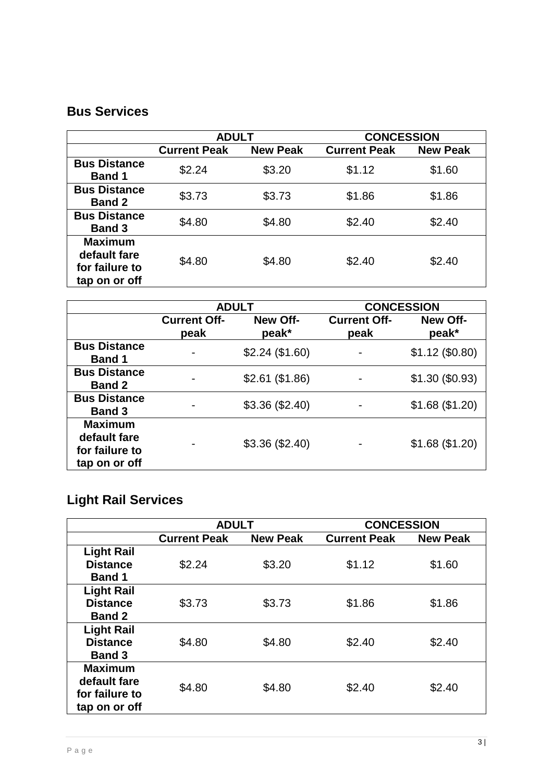### **Bus Services**

|                                                                   | <b>ADULT</b>        |                 | <b>CONCESSION</b>   |                 |
|-------------------------------------------------------------------|---------------------|-----------------|---------------------|-----------------|
|                                                                   | <b>Current Peak</b> | <b>New Peak</b> | <b>Current Peak</b> | <b>New Peak</b> |
| <b>Bus Distance</b><br><b>Band 1</b>                              | \$2.24              | \$3.20          | \$1.12              | \$1.60          |
| <b>Bus Distance</b><br><b>Band 2</b>                              | \$3.73              | \$3.73          | \$1.86              | \$1.86          |
| <b>Bus Distance</b><br><b>Band 3</b>                              | \$4.80              | \$4.80          | \$2.40              | \$2.40          |
| <b>Maximum</b><br>default fare<br>for failure to<br>tap on or off | \$4.80              | \$4.80          | \$2.40              | \$2.40          |

|                                                                   |                             | <b>ADULT</b>      | <b>CONCESSION</b>           |                          |
|-------------------------------------------------------------------|-----------------------------|-------------------|-----------------------------|--------------------------|
|                                                                   | <b>Current Off-</b><br>peak | New Off-<br>peak* | <b>Current Off-</b><br>peak | <b>New Off-</b><br>peak* |
| <b>Bus Distance</b><br><b>Band 1</b>                              |                             | \$2.24 (\$1.60)   |                             | $$1.12$ (\$0.80)         |
| <b>Bus Distance</b><br><b>Band 2</b>                              |                             | \$2.61 (\$1.86)   |                             | $$1.30$ (\$0.93)         |
| <b>Bus Distance</b><br><b>Band 3</b>                              |                             | \$3.36 (\$2.40)   |                             | \$1.68 (\$1.20)          |
| <b>Maximum</b><br>default fare<br>for failure to<br>tap on or off |                             | \$3.36 (\$2.40)   | $\blacksquare$              | \$1.68 (\$1.20)          |

# **Light Rail Services**

|                   | <b>ADULT</b>        |                 | <b>CONCESSION</b>   |                 |
|-------------------|---------------------|-----------------|---------------------|-----------------|
|                   | <b>Current Peak</b> | <b>New Peak</b> | <b>Current Peak</b> | <b>New Peak</b> |
| <b>Light Rail</b> |                     |                 |                     |                 |
| <b>Distance</b>   | \$2.24              | \$3.20          | \$1.12              | \$1.60          |
| <b>Band 1</b>     |                     |                 |                     |                 |
| <b>Light Rail</b> |                     |                 |                     |                 |
| <b>Distance</b>   | \$3.73              | \$3.73          | \$1.86              | \$1.86          |
| <b>Band 2</b>     |                     |                 |                     |                 |
| <b>Light Rail</b> |                     |                 |                     |                 |
| <b>Distance</b>   | \$4.80              | \$4.80          | \$2.40              | \$2.40          |
| <b>Band 3</b>     |                     |                 |                     |                 |
| <b>Maximum</b>    |                     |                 |                     |                 |
| default fare      | \$4.80              | \$4.80          | \$2.40              | \$2.40          |
| for failure to    |                     |                 |                     |                 |
| tap on or off     |                     |                 |                     |                 |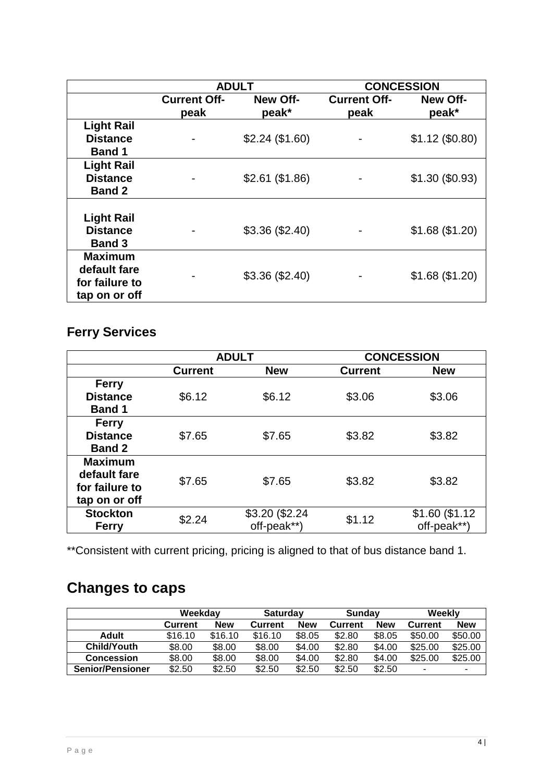|                                                                   | <b>ADULT</b>                |                   | <b>CONCESSION</b>           |                          |
|-------------------------------------------------------------------|-----------------------------|-------------------|-----------------------------|--------------------------|
|                                                                   | <b>Current Off-</b><br>peak | New Off-<br>peak* | <b>Current Off-</b><br>peak | <b>New Off-</b><br>peak* |
| <b>Light Rail</b><br><b>Distance</b>                              |                             | \$2.24 (\$1.60)   |                             | $$1.12$ (\$0.80)         |
| <b>Band 1</b>                                                     |                             |                   |                             |                          |
| <b>Light Rail</b><br><b>Distance</b><br><b>Band 2</b>             |                             | \$2.61 (\$1.86)   | ٠                           | $$1.30$ (\$0.93)         |
| <b>Light Rail</b><br><b>Distance</b><br><b>Band 3</b>             |                             | \$3.36 (\$2.40)   |                             | \$1.68 (\$1.20)          |
| <b>Maximum</b><br>default fare<br>for failure to<br>tap on or off |                             | \$3.36 (\$2.40)   |                             | \$1.68 (\$1.20)          |

### **Ferry Services**

|                 | <b>ADULT</b>   |                | <b>CONCESSION</b> |                |  |
|-----------------|----------------|----------------|-------------------|----------------|--|
|                 | <b>Current</b> | <b>New</b>     | <b>Current</b>    | <b>New</b>     |  |
| <b>Ferry</b>    |                |                |                   |                |  |
| <b>Distance</b> | \$6.12         | \$6.12         | \$3.06            | \$3.06         |  |
| <b>Band 1</b>   |                |                |                   |                |  |
| <b>Ferry</b>    |                |                |                   |                |  |
| <b>Distance</b> | \$7.65         | \$7.65         | \$3.82            | \$3.82         |  |
| <b>Band 2</b>   |                |                |                   |                |  |
| <b>Maximum</b>  |                |                |                   |                |  |
| default fare    | \$7.65         |                |                   | \$3.82         |  |
| for failure to  |                | \$7.65         | \$3.82            |                |  |
| tap on or off   |                |                |                   |                |  |
| <b>Stockton</b> | \$2.24         | \$3.20 (\$2.24 | \$1.12            | \$1.60 (\$1.12 |  |
| <b>Ferry</b>    |                | off-peak**)    |                   | off-peak**)    |  |

\*\*Consistent with current pricing, pricing is aligned to that of bus distance band 1.

# **Changes to caps**

|                         | Weekdav        |         | <b>Saturdav</b> |            | Sundav         |        | Weekly         |            |
|-------------------------|----------------|---------|-----------------|------------|----------------|--------|----------------|------------|
|                         | <b>Current</b> | New     | Current         | <b>New</b> | <b>Current</b> | New    | <b>Current</b> | <b>New</b> |
| <b>Adult</b>            | \$16.10        | \$16.10 | \$16.10         | \$8.05     | \$2.80         | \$8.05 | \$50.00        | \$50.00    |
| <b>Child/Youth</b>      | \$8.00         | \$8.00  | \$8.00          | \$4.00     | \$2.80         | \$4.00 | \$25.00        | \$25.00    |
| <b>Concession</b>       | \$8.00         | \$8.00  | \$8.00          | \$4.00     | \$2.80         | \$4.00 | \$25.00        | \$25.00    |
| <b>Senior/Pensioner</b> | \$2.50         | \$2.50  | \$2.50          | \$2.50     | \$2.50         | \$2.50 | -              |            |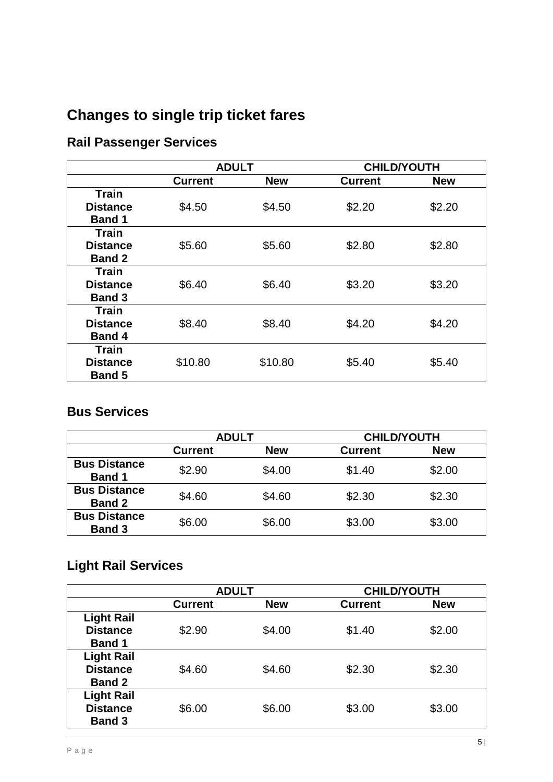# **Changes to single trip ticket fares**

# **Rail Passenger Services**

|                 | <b>ADULT</b>   |            | <b>CHILD/YOUTH</b> |            |
|-----------------|----------------|------------|--------------------|------------|
|                 | <b>Current</b> | <b>New</b> | <b>Current</b>     | <b>New</b> |
| <b>Train</b>    |                |            |                    |            |
| <b>Distance</b> | \$4.50         | \$4.50     | \$2.20             | \$2.20     |
| <b>Band 1</b>   |                |            |                    |            |
| <b>Train</b>    |                |            |                    |            |
| <b>Distance</b> | \$5.60         | \$5.60     | \$2.80             | \$2.80     |
| <b>Band 2</b>   |                |            |                    |            |
| <b>Train</b>    |                |            |                    |            |
| <b>Distance</b> | \$6.40         | \$6.40     | \$3.20             | \$3.20     |
| <b>Band 3</b>   |                |            |                    |            |
| <b>Train</b>    |                |            |                    |            |
| <b>Distance</b> | \$8.40         | \$8.40     | \$4.20             | \$4.20     |
| <b>Band 4</b>   |                |            |                    |            |
| <b>Train</b>    |                |            |                    |            |
| <b>Distance</b> | \$10.80        | \$10.80    | \$5.40             | \$5.40     |
| <b>Band 5</b>   |                |            |                    |            |

### **Bus Services**

|                                      | <b>ADULT</b> |            | <b>CHILD/YOUTH</b> |            |
|--------------------------------------|--------------|------------|--------------------|------------|
|                                      | Current      | <b>New</b> | <b>Current</b>     | <b>New</b> |
| <b>Bus Distance</b><br><b>Band 1</b> | \$2.90       | \$4.00     | \$1.40             | \$2.00     |
| <b>Bus Distance</b><br><b>Band 2</b> | \$4.60       | \$4.60     | \$2.30             | \$2.30     |
| <b>Bus Distance</b><br><b>Band 3</b> | \$6.00       | \$6.00     | \$3.00             | \$3.00     |

# **Light Rail Services**

|                   | <b>ADULT</b>   |            | <b>CHILD/YOUTH</b> |            |
|-------------------|----------------|------------|--------------------|------------|
|                   | <b>Current</b> | <b>New</b> | <b>Current</b>     | <b>New</b> |
| <b>Light Rail</b> |                |            |                    |            |
| <b>Distance</b>   | \$2.90         | \$4.00     | \$1.40             | \$2.00     |
| <b>Band 1</b>     |                |            |                    |            |
| <b>Light Rail</b> |                |            |                    |            |
| <b>Distance</b>   | \$4.60         | \$4.60     | \$2.30             | \$2.30     |
| <b>Band 2</b>     |                |            |                    |            |
| <b>Light Rail</b> |                |            |                    |            |
| <b>Distance</b>   | \$6.00         | \$6.00     | \$3.00             | \$3.00     |
| <b>Band 3</b>     |                |            |                    |            |